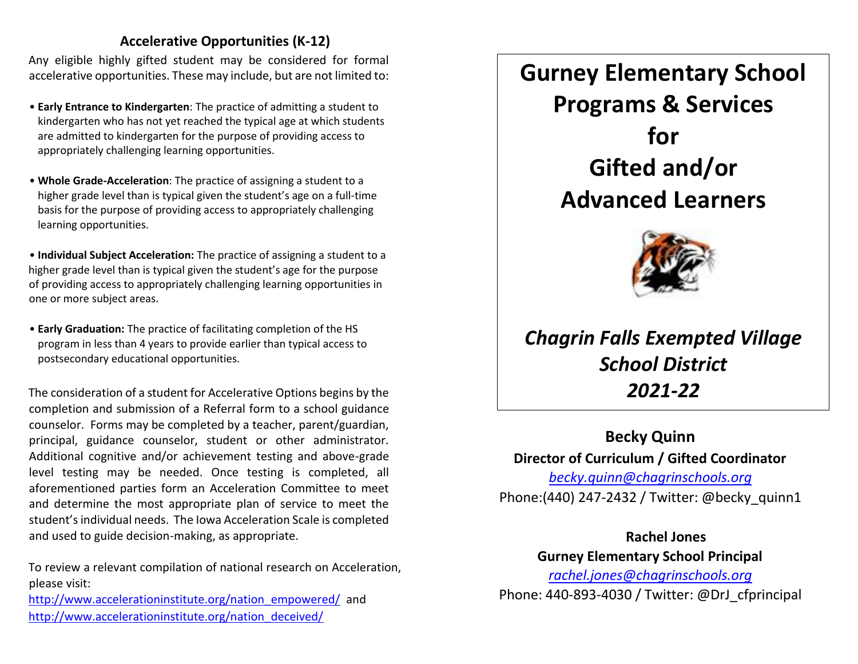### **Accelerative Opportunities (K-12)**

Any eligible highly gifted student may be considered for formal accelerative opportunities. These may include, but are not limited to:

- **Early Entrance to Kindergarten**: The practice of admitting a student to kindergarten who has not yet reached the typical age at which students are admitted to kindergarten for the purpose of providing access to appropriately challenging learning opportunities.
- **Whole Grade-Acceleration**: The practice of assigning a student to a higher grade level than is typical given the student's age on a full-time basis for the purpose of providing access to appropriately challenging learning opportunities.

• **Individual Subject Acceleration:** The practice of assigning a student to a higher grade level than is typical given the student's age for the purpose of providing access to appropriately challenging learning opportunities in one or more subject areas.

• **Early Graduation:** The practice of facilitating completion of the HS program in less than 4 years to provide earlier than typical access to postsecondary educational opportunities.

The consideration of a student for Accelerative Options begins by the completion and submission of a Referral form to a school guidance counselor. Forms may be completed by a teacher, parent/guardian, principal, guidance counselor, student or other administrator. Additional cognitive and/or achievement testing and above-grade level testing may be needed. Once testing is completed, all aforementioned parties form an Acceleration Committee to meet and determine the most appropriate plan of service to meet the student's individual needs. The Iowa Acceleration Scale is completed and used to guide decision-making, as appropriate.

To review a relevant compilation of national research on Acceleration, please visit:

[http://www.accelerationinstitute.org/nation\\_empowered/](http://www.accelerationinstitute.org/nation_empowered/) and [http://www.accelerationinstitute.org/nation\\_deceived/](http://www.accelerationinstitute.org/nation_deceived/)

# **Gurney Elementary School Programs & Services for Gifted and/or Advanced Learners**



## *Chagrin Falls Exempted Village School District 2021-22*

### **Becky Quinn Director of Curriculum / Gifted Coordinator**  *becky.quinn@chagrinschools.org*

Phone:(440) 247-2432 / Twitter: @becky\_quinn1

**Rachel Jones Gurney Elementary School Principal** 

*rachel.jones@chagrinschools.org* Phone: 440-893-4030 / Twitter: @DrJ\_cfprincipal